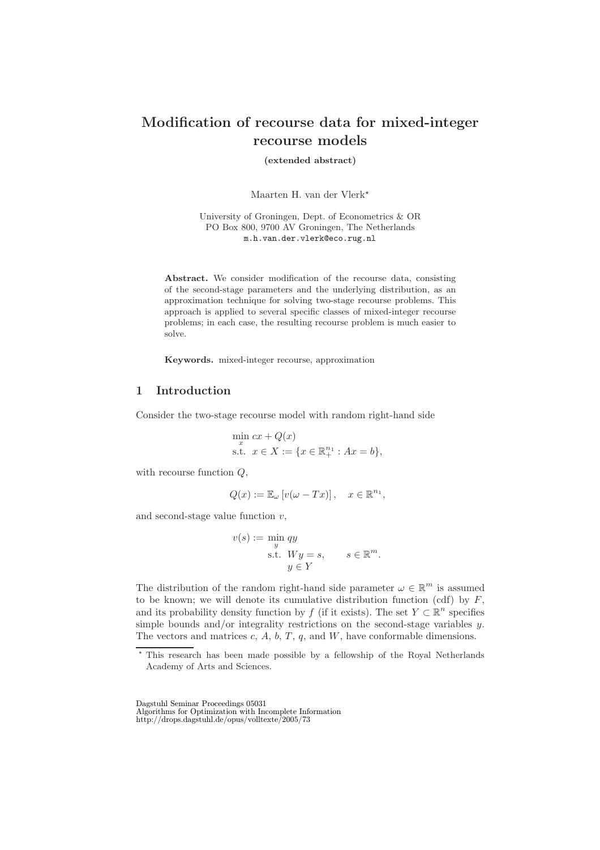# **Modification of recourse data for mixed-integer recourse models**

**(extended abstract)**

Maarten H. van der Vlerk

University of Groningen, Dept. of Econometrics & OR PO Box 800, 9700 AV Groningen, The Netherlands m.h.van.der.vlerk@eco.rug.nl

**Abstract.** We consider modification of the recourse data, consisting of the second-stage parameters and the underlying distribution, as an approximation technique for solving two-stage recourse problems. This approach is applied to several specific classes of mixed-integer recourse problems; in each case, the resulting recourse problem is much easier to solve.

**Keywords.** mixed-integer recourse, approximation

#### **1 Introduction**

Consider the two-stage recourse model with random right-hand side

min 
$$
cx + Q(x)
$$
  
s.t.  $x \in X := \{x \in \mathbb{R}_+^{n_1} : Ax = b\},\$ 

with recourse function  $Q$ ,

$$
Q(x) := \mathbb{E}_{\omega} \left[ v(\omega - Tx) \right], \quad x \in \mathbb{R}^{n_1},
$$

and second-stage value function  $v$ ,

$$
v(s) := \min_{y} qy
$$
  
s.t.  $Wy = s$ ,  $s \in \mathbb{R}^{m}$ .  
 $y \in Y$ 

The distribution of the random right-hand side parameter  $\omega \in \mathbb{R}^m$  is assumed to be known; we will denote its cumulative distribution function (cdf) by  $F$ , and its probability density function by f (if it exists). The set  $Y \subset \mathbb{R}^n$  specifies simple bounds and/or integrality restrictions on the second-stage variables  $y$ . The vectors and matrices  $c, A, b, T, q$ , and  $W$ , have conformable dimensions.

Dagstuhl Seminar Proceedings 05031 Algorithms for Optimization with Incomplete Information http://drops.dagstuhl.de/opus/volltexte/2005/73

<sup>\*</sup> This research has been made possible by a fellowship of the Royal Netherlands Academy of Arts and Sciences.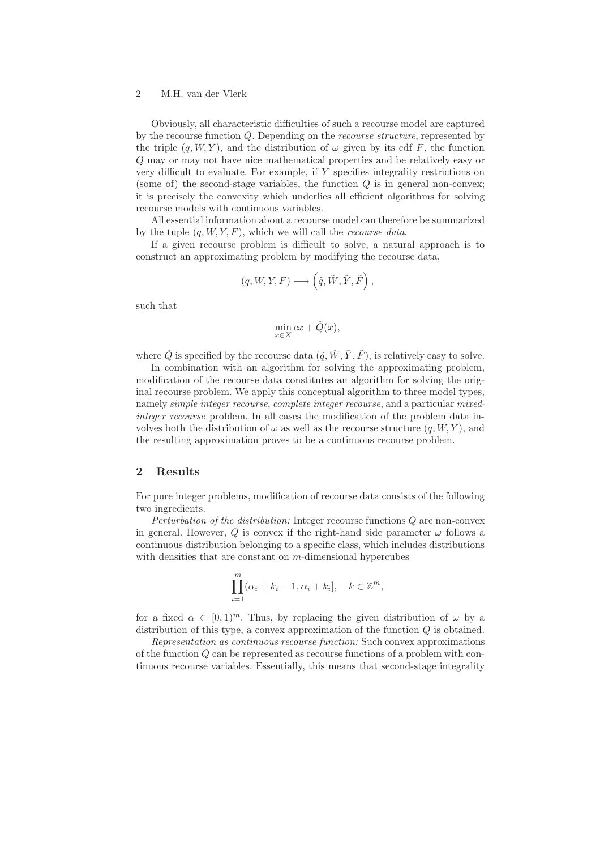### 2 M.H. van der Vlerk

Obviously, all characteristic difficulties of such a recourse model are captured by the recourse function Q. Depending on the *recourse structure*, represented by the triple  $(q, W, Y)$ , and the distribution of  $\omega$  given by its cdf F, the function Q may or may not have nice mathematical properties and be relatively easy or very difficult to evaluate. For example, if Y specifies integrality restrictions on (some of) the second-stage variables, the function  $Q$  is in general non-convex; it is precisely the convexity which underlies all efficient algorithms for solving recourse models with continuous variables.

All essential information about a recourse model can therefore be summarized by the tuple (q, W, Y, F), which we will call the *recourse data*.

If a given recourse problem is difficult to solve, a natural approach is to construct an approximating problem by modifying the recourse data,

$$
(q,W,Y,F) \longrightarrow \left(\tilde{q},\tilde{W},\tilde{Y},\tilde{F}\right),
$$

such that

$$
\min_{x \in X} cx + \tilde{Q}(x),
$$

where  $\tilde{Q}$  is specified by the recourse data  $(\tilde{q}, \tilde{W}, \tilde{Y}, \tilde{F})$ , is relatively easy to solve.

In combination with an algorithm for solving the approximating problem, modification of the recourse data constitutes an algorithm for solving the original recourse problem. We apply this conceptual algorithm to three model types, namely *simple integer recourse*, *complete integer recourse*, and a particular *mixedinteger recourse* problem. In all cases the modification of the problem data involves both the distribution of  $\omega$  as well as the recourse structure  $(q, W, Y)$ , and the resulting approximation proves to be a continuous recourse problem.

## **2 Results**

For pure integer problems, modification of recourse data consists of the following two ingredients.

*Perturbation of the distribution:* Integer recourse functions Q are non-convex in general. However, Q is convex if the right-hand side parameter  $\omega$  follows a continuous distribution belonging to a specific class, which includes distributions with densities that are constant on  $m$ -dimensional hypercubes

$$
\prod_{i=1}^{m} (\alpha_i + k_i - 1, \alpha_i + k_i], \quad k \in \mathbb{Z}^m,
$$

for a fixed  $\alpha \in [0,1)^m$ . Thus, by replacing the given distribution of  $\omega$  by a distribution of this type, a convex approximation of the function  $Q$  is obtained.

*Representation as continuous recourse function:* Such convex approximations of the function Q can be represented as recourse functions of a problem with continuous recourse variables. Essentially, this means that second-stage integrality